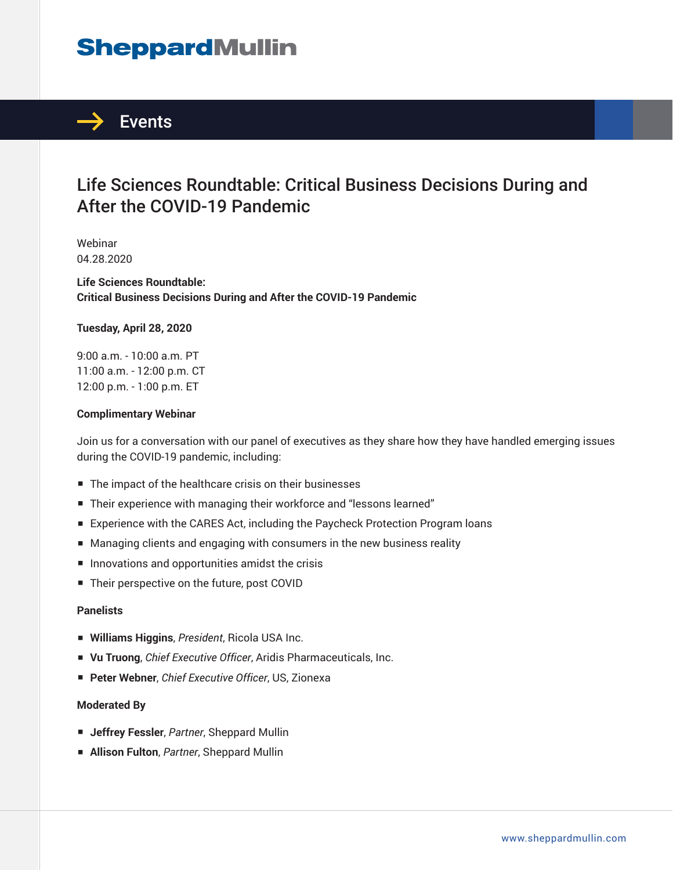# **SheppardMullin**



## Life Sciences Roundtable: Critical Business Decisions During and After the COVID-19 Pandemic

Webinar 04.28.2020

**Life Sciences Roundtable: Critical Business Decisions During and After the COVID-19 Pandemic**

### **Tuesday, April 28, 2020**

9:00 a.m. - 10:00 a.m. PT 11:00 a.m. - 12:00 p.m. CT 12:00 p.m. - 1:00 p.m. ET

### **Complimentary Webinar**

Join us for a conversation with our panel of executives as they share how they have handled emerging issues during the COVID-19 pandemic, including:

- The impact of the healthcare crisis on their businesses
- Their experience with managing their workforce and "lessons learned"
- Experience with the CARES Act, including the Paycheck Protection Program loans
- Managing clients and engaging with consumers in the new business reality
- Innovations and opportunities amidst the crisis
- Their perspective on the future, post COVID

### **Panelists**

- **Williams Higgins**, *President*, Ricola USA Inc.
- **Vu Truong**, *Chief Executive Officer*, Aridis Pharmaceuticals, Inc.
- **Peter Webner**, *Chief Executive Officer*, US, Zionexa

#### **Moderated By**

- **Jeffrey Fessler**, *Partner*, Sheppard Mullin
- **Allison Fulton**, *Partner*, Sheppard Mullin